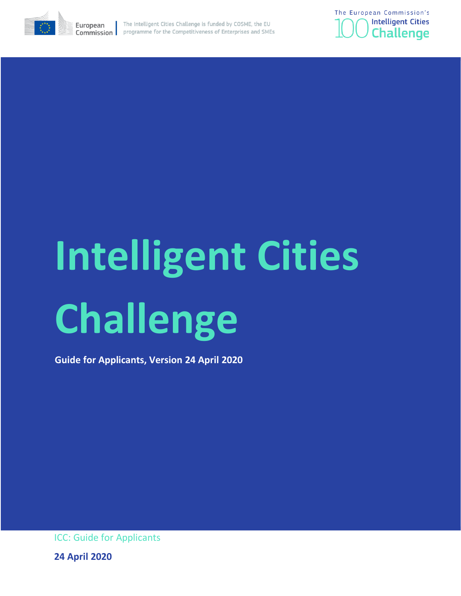



# **Intelligent Cities Challenge**

**Guide for Applicants, Version 24 April 2020**

ICC: Guide for Applicants

**24 April 2020**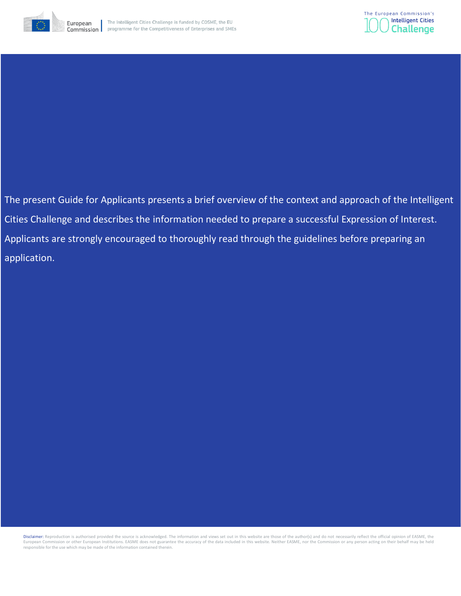



The present Guide for Applicants presents a brief overview of the context and approach of the Intelligent Cities Challenge and describes the information needed to prepare a successful Expression of Interest. Applicants are strongly encouraged to thoroughly read through the guidelines before preparing an application.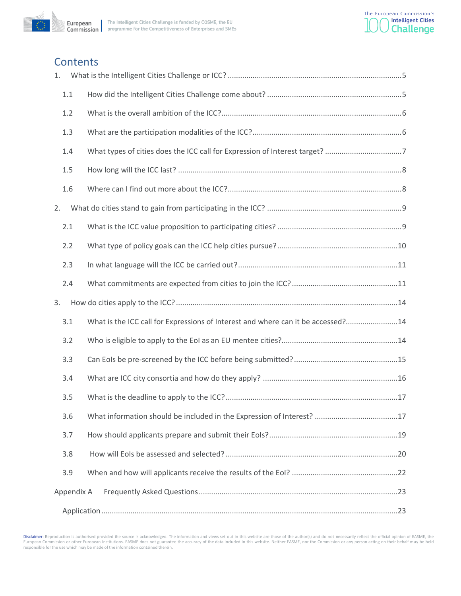

# **Contents**

| 1.         |                                                                                  |  |
|------------|----------------------------------------------------------------------------------|--|
| $1.1\,$    |                                                                                  |  |
| 1.2        |                                                                                  |  |
| 1.3        |                                                                                  |  |
| 1.4        |                                                                                  |  |
| 1.5        |                                                                                  |  |
| 1.6        |                                                                                  |  |
| 2.         |                                                                                  |  |
| 2.1        |                                                                                  |  |
| 2.2        |                                                                                  |  |
| 2.3        |                                                                                  |  |
| 2.4        |                                                                                  |  |
|            |                                                                                  |  |
| 3.         |                                                                                  |  |
| 3.1        | What is the ICC call for Expressions of Interest and where can it be accessed?14 |  |
| 3.2        |                                                                                  |  |
| 3.3        |                                                                                  |  |
| 3.4        |                                                                                  |  |
| 3.5        |                                                                                  |  |
| 3.6        |                                                                                  |  |
| 3.7        |                                                                                  |  |
| 3.8        |                                                                                  |  |
| 3.9        |                                                                                  |  |
| Appendix A |                                                                                  |  |

Disclaimer: Reproduction is authorised provided the source is acknowledged. The information and views set out in this website are those of the author(s) and do not necessarily reflect the official opinion of EASME, the<br>Eur responsible for the use which may be made of the information contained therein.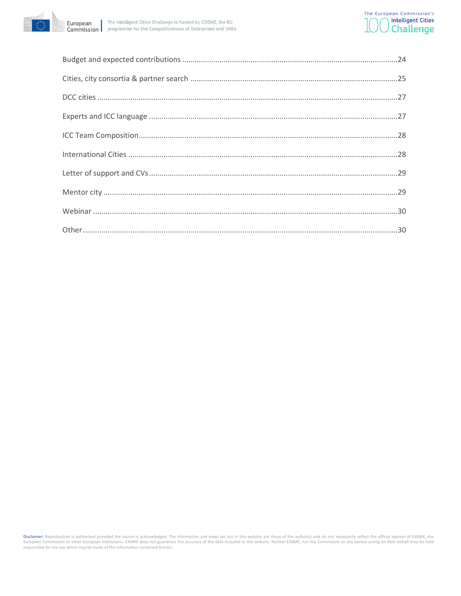

Disclaimer: Reproduction is authorised provided the source is acknowledged. The information and views set out in this website are those of the author(s) and do not necessarily reflect the official opinion of EASME, the<br>Eur responsible for the use which may be made of the information contained therein.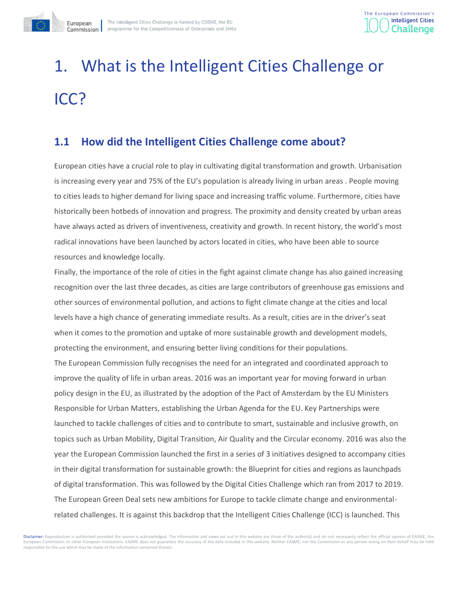

# <span id="page-4-0"></span>1. What is the Intelligent Cities Challenge or ICC?

# <span id="page-4-1"></span>**1.1 How did the Intelligent Cities Challenge come about?**

European cities have a crucial role to play in cultivating digital transformation and growth. Urbanisation is increasing every year and 75% of the EU's population is already living in urban areas . People moving to cities leads to higher demand for living space and increasing traffic volume. Furthermore, cities have historically been hotbeds of innovation and progress. The proximity and density created by urban areas have always acted as drivers of inventiveness, creativity and growth. In recent history, the world's most radical innovations have been launched by actors located in cities, who have been able to source resources and knowledge locally.

Finally, the importance of the role of cities in the fight against climate change has also gained increasing recognition over the last three decades, as cities are large contributors of greenhouse gas emissions and other sources of environmental pollution, and actions to fight climate change at the cities and local levels have a high chance of generating immediate results. As a result, cities are in the driver's seat when it comes to the promotion and uptake of more sustainable growth and development models, protecting the environment, and ensuring better living conditions for their populations.

The European Commission fully recognises the need for an integrated and coordinated approach to improve the quality of life in urban areas. 2016 was an important year for moving forward in urban policy design in the EU, as illustrated by the adoption of the Pact of Amsterdam by the EU Ministers Responsible for Urban Matters, establishing the Urban Agenda for the EU. Key Partnerships were launched to tackle challenges of cities and to contribute to smart, sustainable and inclusive growth, on topics such as Urban Mobility, Digital Transition, Air Quality and the Circular economy. 2016 was also the year the European Commission launched the first in a series of 3 initiatives designed to accompany cities in their digital transformation for sustainable growth: the Blueprint for cities and regions as launchpads of digital transformation. This was followed by the Digital Cities Challenge which ran from 2017 to 2019. The European Green Deal sets new ambitions for Europe to tackle climate change and environmentalrelated challenges. It is against this backdrop that the Intelligent Cities Challenge (ICC) is launched. This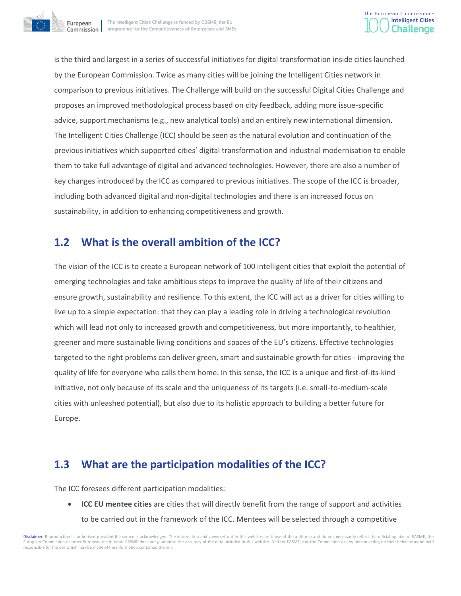



is the third and largest in a series of successful initiatives for digital transformation inside cities launched by the European Commission. Twice as many cities will be joining the Intelligent Cities network in comparison to previous initiatives. The Challenge will build on the successful Digital Cities Challenge and proposes an improved methodological process based on city feedback, adding more issue-specific advice, support mechanisms (e.g., new analytical tools) and an entirely new international dimension. The Intelligent Cities Challenge (ICC) should be seen as the natural evolution and continuation of the previous initiatives which supported cities' digital transformation and industrial modernisation to enable them to take full advantage of digital and advanced technologies. However, there are also a number of key changes introduced by the ICC as compared to previous initiatives. The scope of the ICC is broader, including both advanced digital and non-digital technologies and there is an increased focus on sustainability, in addition to enhancing competitiveness and growth.

# <span id="page-5-0"></span>**1.2 What is the overall ambition of the ICC?**

The vision of the ICC is to create a European network of 100 intelligent cities that exploit the potential of emerging technologies and take ambitious steps to improve the quality of life of their citizens and ensure growth, sustainability and resilience. To this extent, the ICC will act as a driver for cities willing to live up to a simple expectation: that they can play a leading role in driving a technological revolution which will lead not only to increased growth and competitiveness, but more importantly, to healthier, greener and more sustainable living conditions and spaces of the EU's citizens. Effective technologies targeted to the right problems can deliver green, smart and sustainable growth for cities - improving the quality of life for everyone who calls them home. In this sense, the ICC is a unique and first-of-its-kind initiative, not only because of its scale and the uniqueness of its targets (i.e. small-to-medium-scale cities with unleashed potential), but also due to its holistic approach to building a better future for Europe.

# <span id="page-5-1"></span>**1.3 What are the participation modalities of the ICC?**

The ICC foresees different participation modalities:

• **ICC EU mentee cities** are cities that will directly benefit from the range of support and activities to be carried out in the framework of the ICC. Mentees will be selected through a competitive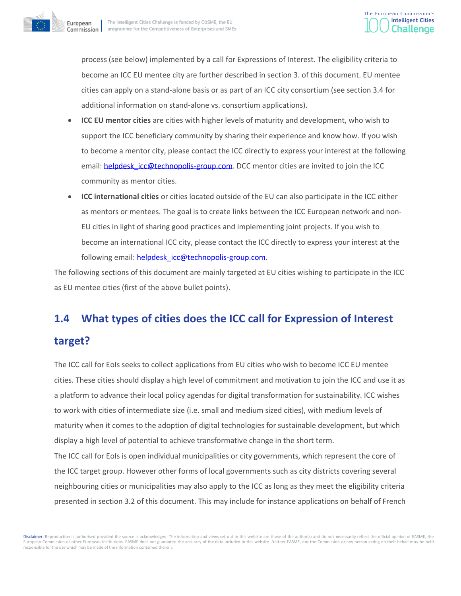

process (see below) implemented by a call for Expressions of Interest. The eligibility criteria to become an ICC EU mentee city are further described in section 3. of this document. EU mentee cities can apply on a stand-alone basis or as part of an ICC city consortium (see section 3.4 for additional information on stand-alone vs. consortium applications).

- **ICC EU mentor cities** are cities with higher levels of maturity and development, who wish to support the ICC beneficiary community by sharing their experience and know how. If you wish to become a mentor city, please contact the ICC directly to express your interest at the following email: [helpdesk\\_icc@technopolis-group.com.](mailto:helpdesk_icc@technopolis-group.com) DCC mentor cities are invited to join the ICC community as mentor cities.
- **ICC international cities** or cities located outside of the EU can also participate in the ICC either as mentors or mentees. The goal is to create links between the ICC European network and non-EU cities in light of sharing good practices and implementing joint projects. If you wish to become an international ICC city, please contact the ICC directly to express your interest at the following email: [helpdesk\\_icc@technopolis-group.com.](mailto:helpdesk_icc@technopolis-group.com)

The following sections of this document are mainly targeted at EU cities wishing to participate in the ICC as EU mentee cities (first of the above bullet points).

# <span id="page-6-0"></span>**1.4 What types of cities does the ICC call for Expression of Interest**

## **target?**

The ICC call for EoIs seeks to collect applications from EU cities who wish to become ICC EU mentee cities. These cities should display a high level of commitment and motivation to join the ICC and use it as a platform to advance their local policy agendas for digital transformation for sustainability. ICC wishes to work with cities of intermediate size (i.e. small and medium sized cities), with medium levels of maturity when it comes to the adoption of digital technologies for sustainable development, but which display a high level of potential to achieve transformative change in the short term.

The ICC call for EoIs is open individual municipalities or city governments, which represent the core of the ICC target group. However other forms of local governments such as city districts covering several neighbouring cities or municipalities may also apply to the ICC as long as they meet the eligibility criteria presented in section 3.2 of this document. This may include for instance applications on behalf of French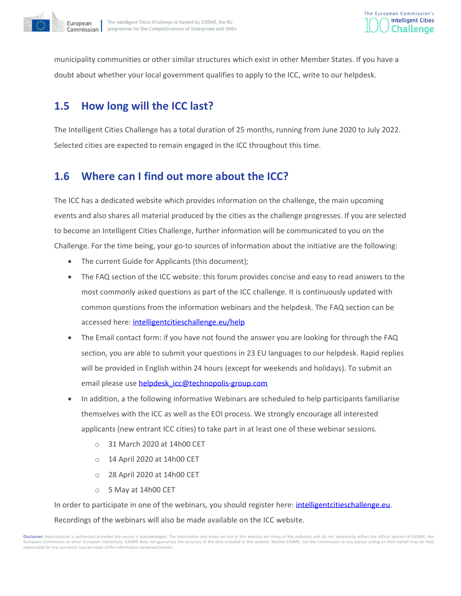

municipality communities or other similar structures which exist in other Member States. If you have a doubt about whether your local government qualifies to apply to the ICC, write to our helpdesk.

# <span id="page-7-0"></span>**1.5 How long will the ICC last?**

The Intelligent Cities Challenge has a total duration of 25 months, running from June 2020 to July 2022. Selected cities are expected to remain engaged in the ICC throughout this time.

# <span id="page-7-1"></span>**1.6 Where can I find out more about the ICC?**

The ICC has a dedicated website which provides information on the challenge, the main upcoming events and also shares all material produced by the cities as the challenge progresses. If you are selected to become an Intelligent Cities Challenge, further information will be communicated to you on the Challenge. For the time being, your go-to sources of information about the initiative are the following:

- The current Guide for Applicants (this document);
- The FAQ section of the ICC website: this forum provides concise and easy to read answers to the most commonly asked questions as part of the ICC challenge. It is continuously updated with common questions from the information webinars and the helpdesk. The FAQ section can be accessed here: [intelligentcitieschallenge.eu/help](https://www.intelligentcitieschallenge.eu/help)
- The Email contact form: if you have not found the answer you are looking for through the FAQ section, you are able to submit your questions in 23 EU languages to our helpdesk. Rapid replies will be provided in English within 24 hours (except for weekends and holidays). To submit an email please use helpdesk icc@technopolis-group.com
- In addition, a the following informative Webinars are scheduled to help participants familiarise themselves with the ICC as well as the EOI process. We strongly encourage all interested applicants (new entrant ICC cities) to take part in at least one of these webinar sessions.
	- o 31 March 2020 at 14h00 CET
	- o 14 April 2020 at 14h00 CET
	- o 28 April 2020 at 14h00 CET
	- o 5 May at 14h00 CET

In order to participate in one of the webinars, you should register here: [intelligentcitieschallenge.eu.](https://www.intelligentcitieschallenge.eu/)

Recordings of the webinars will also be made available on the ICC website.

Disclaimer: Reproduction is authorised provided the source is acknowledged. The information and views set out in this website are those of the author(s) and do not necessarily reflect the official opinion of EASME, the European Commission or other European Institutions. EASME does not guarantee the accuracy of the data included in this website. Neither EASME, nor the Commission or any person acting on their behalf may be held responsible for the use which may be made of the information contained therein.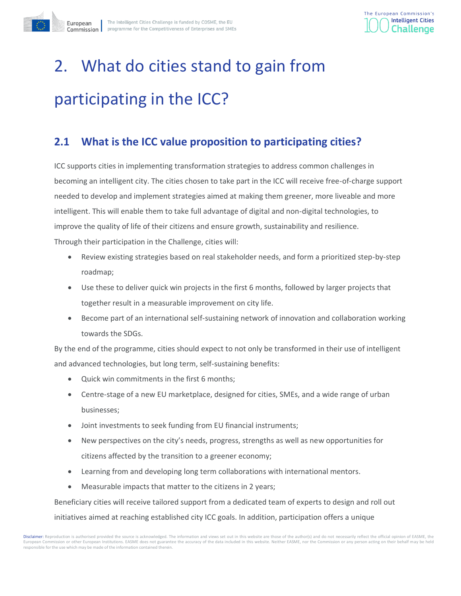

# <span id="page-8-0"></span>2. What do cities stand to gain from participating in the ICC?

# <span id="page-8-1"></span>**2.1 What is the ICC value proposition to participating cities?**

ICC supports cities in implementing transformation strategies to address common challenges in becoming an intelligent city. The cities chosen to take part in the ICC will receive free-of-charge support needed to develop and implement strategies aimed at making them greener, more liveable and more intelligent. This will enable them to take full advantage of digital and non-digital technologies, to improve the quality of life of their citizens and ensure growth, sustainability and resilience. Through their participation in the Challenge, cities will:

- Review existing strategies based on real stakeholder needs, and form a prioritized step-by-step roadmap;
- Use these to deliver quick win projects in the first 6 months, followed by larger projects that together result in a measurable improvement on city life.
- Become part of an international self-sustaining network of innovation and collaboration working towards the SDGs.

By the end of the programme, cities should expect to not only be transformed in their use of intelligent and advanced technologies, but long term, self-sustaining benefits:

- Quick win commitments in the first 6 months;
- Centre-stage of a new EU marketplace, designed for cities, SMEs, and a wide range of urban businesses;
- Joint investments to seek funding from EU financial instruments;
- New perspectives on the city's needs, progress, strengths as well as new opportunities for citizens affected by the transition to a greener economy;
- Learning from and developing long term collaborations with international mentors.
- Measurable impacts that matter to the citizens in 2 years;

Beneficiary cities will receive tailored support from a dedicated team of experts to design and roll out

initiatives aimed at reaching established city ICC goals. In addition, participation offers a unique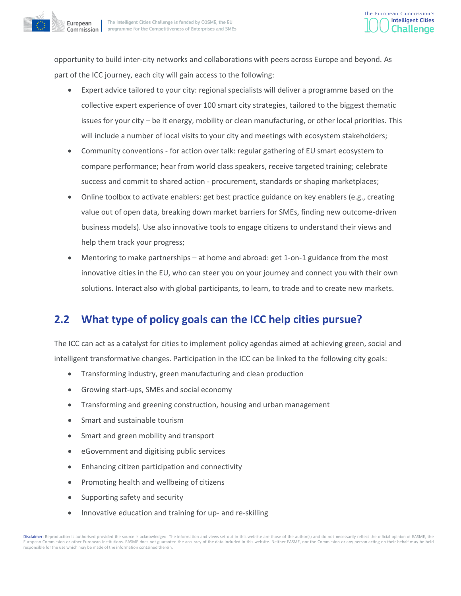

opportunity to build inter-city networks and collaborations with peers across Europe and beyond. As part of the ICC journey, each city will gain access to the following:

- Expert advice tailored to your city: regional specialists will deliver a programme based on the collective expert experience of over 100 smart city strategies, tailored to the biggest thematic issues for your city – be it energy, mobility or clean manufacturing, or other local priorities. This will include a number of local visits to your city and meetings with ecosystem stakeholders;
- Community conventions for action over talk: regular gathering of EU smart ecosystem to compare performance; hear from world class speakers, receive targeted training; celebrate success and commit to shared action - procurement, standards or shaping marketplaces;
- Online toolbox to activate enablers: get best practice guidance on key enablers (e.g., creating value out of open data, breaking down market barriers for SMEs, finding new outcome-driven business models). Use also innovative tools to engage citizens to understand their views and help them track your progress;
- Mentoring to make partnerships at home and abroad: get 1-on-1 guidance from the most innovative cities in the EU, who can steer you on your journey and connect you with their own solutions. Interact also with global participants, to learn, to trade and to create new markets.

# <span id="page-9-0"></span>**2.2 What type of policy goals can the ICC help cities pursue?**

The ICC can act as a catalyst for cities to implement policy agendas aimed at achieving green, social and intelligent transformative changes. Participation in the ICC can be linked to the following city goals:

- Transforming industry, green manufacturing and clean production
- Growing start-ups, SMEs and social economy
- Transforming and greening construction, housing and urban management
- Smart and sustainable tourism
- Smart and green mobility and transport
- eGovernment and digitising public services
- Enhancing citizen participation and connectivity
- Promoting health and wellbeing of citizens
- Supporting safety and security
- Innovative education and training for up- and re-skilling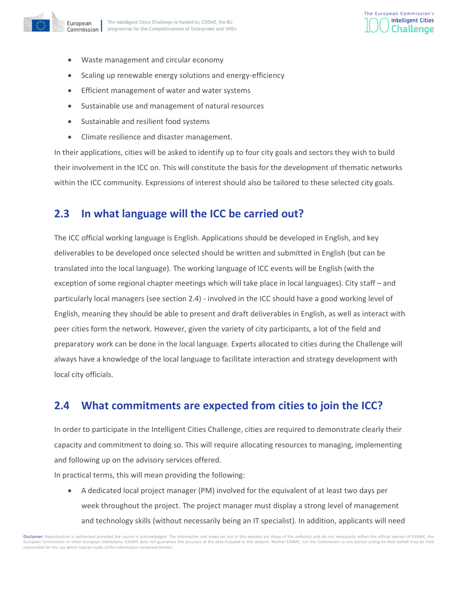

- Waste management and circular economy
- Scaling up renewable energy solutions and energy-efficiency
- Efficient management of water and water systems
- Sustainable use and management of natural resources
- Sustainable and resilient food systems
- Climate resilience and disaster management.

In their applications, cities will be asked to identify up to four city goals and sectors they wish to build their involvement in the ICC on. This will constitute the basis for the development of thematic networks within the ICC community. Expressions of interest should also be tailored to these selected city goals.

# <span id="page-10-0"></span>**2.3 In what language will the ICC be carried out?**

The ICC official working language is English. Applications should be developed in English, and key deliverables to be developed once selected should be written and submitted in English (but can be translated into the local language). The working language of ICC events will be English (with the exception of some regional chapter meetings which will take place in local languages). City staff – and particularly local managers (see section 2.4) - involved in the ICC should have a good working level of English, meaning they should be able to present and draft deliverables in English, as well as interact with peer cities form the network. However, given the variety of city participants, a lot of the field and preparatory work can be done in the local language. Experts allocated to cities during the Challenge will always have a knowledge of the local language to facilitate interaction and strategy development with local city officials.

# <span id="page-10-1"></span>**2.4 What commitments are expected from cities to join the ICC?**

In order to participate in the Intelligent Cities Challenge, cities are required to demonstrate clearly their capacity and commitment to doing so. This will require allocating resources to managing, implementing and following up on the advisory services offered.

In practical terms, this will mean providing the following:

• A dedicated local project manager (PM) involved for the equivalent of at least two days per week throughout the project. The project manager must display a strong level of management and technology skills (without necessarily being an IT specialist). In addition, applicants will need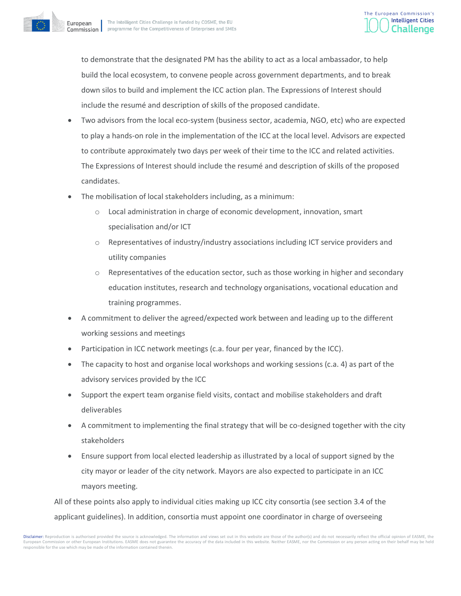

to demonstrate that the designated PM has the ability to act as a local ambassador, to help build the local ecosystem, to convene people across government departments, and to break down silos to build and implement the ICC action plan. The Expressions of Interest should include the resumé and description of skills of the proposed candidate.

- Two advisors from the local eco-system (business sector, academia, NGO, etc) who are expected to play a hands-on role in the implementation of the ICC at the local level. Advisors are expected to contribute approximately two days per week of their time to the ICC and related activities. The Expressions of Interest should include the resumé and description of skills of the proposed candidates.
- The mobilisation of local stakeholders including, as a minimum:
	- Local administration in charge of economic development, innovation, smart specialisation and/or ICT
	- $\circ$  Representatives of industry/industry associations including ICT service providers and utility companies
	- $\circ$  Representatives of the education sector, such as those working in higher and secondary education institutes, research and technology organisations, vocational education and training programmes.
- A commitment to deliver the agreed/expected work between and leading up to the different working sessions and meetings
- Participation in ICC network meetings (c.a. four per year, financed by the ICC).
- The capacity to host and organise local workshops and working sessions (c.a. 4) as part of the advisory services provided by the ICC
- Support the expert team organise field visits, contact and mobilise stakeholders and draft deliverables
- A commitment to implementing the final strategy that will be co-designed together with the city stakeholders
- Ensure support from local elected leadership as illustrated by a local of support signed by the city mayor or leader of the city network. Mayors are also expected to participate in an ICC mayors meeting.

All of these points also apply to individual cities making up ICC city consortia (see section 3.4 of the applicant guidelines). In addition, consortia must appoint one coordinator in charge of overseeing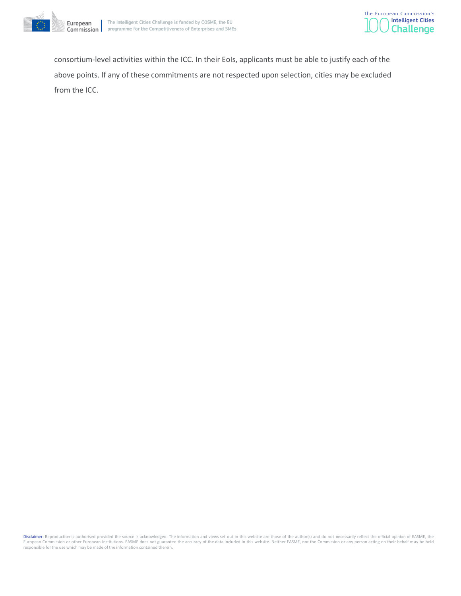



consortium-level activities within the ICC. In their EoIs, applicants must be able to justify each of the above points. If any of these commitments are not respected upon selection, cities may be excluded from the ICC.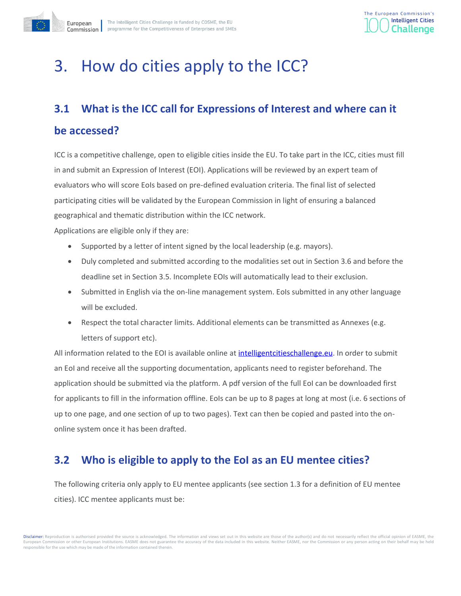

# <span id="page-13-0"></span>3. How do cities apply to the ICC?

# <span id="page-13-1"></span>**3.1 What is the ICC call for Expressions of Interest and where can it**

## **be accessed?**

ICC is a competitive challenge, open to eligible cities inside the EU. To take part in the ICC, cities must fill in and submit an Expression of Interest (EOI). Applications will be reviewed by an expert team of evaluators who will score EoIs based on pre-defined evaluation criteria. The final list of selected participating cities will be validated by the European Commission in light of ensuring a balanced geographical and thematic distribution within the ICC network.

Applications are eligible only if they are:

- Supported by a letter of intent signed by the local leadership (e.g. mayors).
- Duly completed and submitted according to the modalities set out in Section 3.6 and before the deadline set in Section 3.5. Incomplete EOIs will automatically lead to their exclusion.
- Submitted in English via the on-line management system. EoIs submitted in any other language will be excluded.
- Respect the total character limits. Additional elements can be transmitted as Annexes (e.g. letters of support etc).

All information related to the EOI is available online at intelligent cities challenge.eu. In order to submit an EoI and receive all the supporting documentation, applicants need to register beforehand. The application should be submitted via the platform. A pdf version of the full EoI can be downloaded first for applicants to fill in the information offline. EoIs can be up to 8 pages at long at most (i.e. 6 sections of up to one page, and one section of up to two pages). Text can then be copied and pasted into the ononline system once it has been drafted.

# <span id="page-13-2"></span>**3.2 Who is eligible to apply to the EoI as an EU mentee cities?**

The following criteria only apply to EU mentee applicants (see section 1.3 for a definition of EU mentee cities). ICC mentee applicants must be: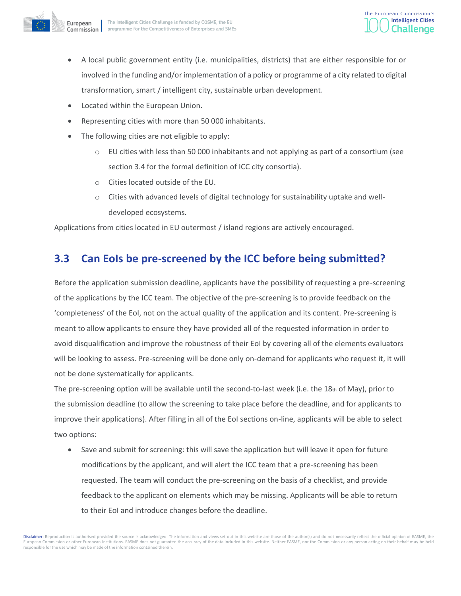

- A local public government entity (i.e. municipalities, districts) that are either responsible for or involved in the funding and/or implementation of a policy or programme of a city related to digital transformation, smart / intelligent city, sustainable urban development.
- Located within the European Union.
- Representing cities with more than 50 000 inhabitants.
- The following cities are not eligible to apply:
	- $\circ$  EU cities with less than 50 000 inhabitants and not applying as part of a consortium (see section 3.4 for the formal definition of ICC city consortia).
	- o Cities located outside of the EU.
	- o Cities with advanced levels of digital technology for sustainability uptake and welldeveloped ecosystems.

<span id="page-14-0"></span>Applications from cities located in EU outermost / island regions are actively encouraged.

# **3.3 Can EoIs be pre-screened by the ICC before being submitted?**

Before the application submission deadline, applicants have the possibility of requesting a pre-screening of the applications by the ICC team. The objective of the pre-screening is to provide feedback on the 'completeness' of the EoI, not on the actual quality of the application and its content. Pre-screening is meant to allow applicants to ensure they have provided all of the requested information in order to avoid disqualification and improve the robustness of their EoI by covering all of the elements evaluators will be looking to assess. Pre-screening will be done only on-demand for applicants who request it, it will not be done systematically for applicants.

The pre-screening option will be available until the second-to-last week (i.e. the 18th of May), prior to the submission deadline (to allow the screening to take place before the deadline, and for applicants to improve their applications). After filling in all of the EoI sections on-line, applicants will be able to select two options:

• Save and submit for screening: this will save the application but will leave it open for future modifications by the applicant, and will alert the ICC team that a pre-screening has been requested. The team will conduct the pre-screening on the basis of a checklist, and provide feedback to the applicant on elements which may be missing. Applicants will be able to return to their EoI and introduce changes before the deadline.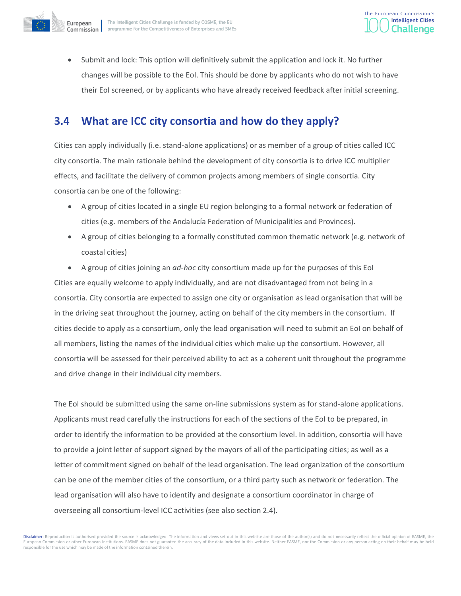



• Submit and lock: This option will definitively submit the application and lock it. No further changes will be possible to the EoI. This should be done by applicants who do not wish to have their EoI screened, or by applicants who have already received feedback after initial screening.

# <span id="page-15-0"></span>**3.4 What are ICC city consortia and how do they apply?**

Cities can apply individually (i.e. stand-alone applications) or as member of a group of cities called ICC city consortia. The main rationale behind the development of city consortia is to drive ICC multiplier effects, and facilitate the delivery of common projects among members of single consortia. City consortia can be one of the following:

- A group of cities located in a single EU region belonging to a formal network or federation of cities (e.g. members of the Andalucía Federation of Municipalities and Provinces).
- A group of cities belonging to a formally constituted common thematic network (e.g. network of coastal cities)
- A group of cities joining an *ad-hoc* city consortium made up for the purposes of this EoI

Cities are equally welcome to apply individually, and are not disadvantaged from not being in a consortia. City consortia are expected to assign one city or organisation as lead organisation that will be in the driving seat throughout the journey, acting on behalf of the city members in the consortium. If cities decide to apply as a consortium, only the lead organisation will need to submit an EoI on behalf of all members, listing the names of the individual cities which make up the consortium. However, all consortia will be assessed for their perceived ability to act as a coherent unit throughout the programme and drive change in their individual city members.

The EoI should be submitted using the same on-line submissions system as for stand-alone applications. Applicants must read carefully the instructions for each of the sections of the EoI to be prepared, in order to identify the information to be provided at the consortium level. In addition, consortia will have to provide a joint letter of support signed by the mayors of all of the participating cities; as well as a letter of commitment signed on behalf of the lead organisation. The lead organization of the consortium can be one of the member cities of the consortium, or a third party such as network or federation. The lead organisation will also have to identify and designate a consortium coordinator in charge of overseeing all consortium-level ICC activities (see also section 2.4).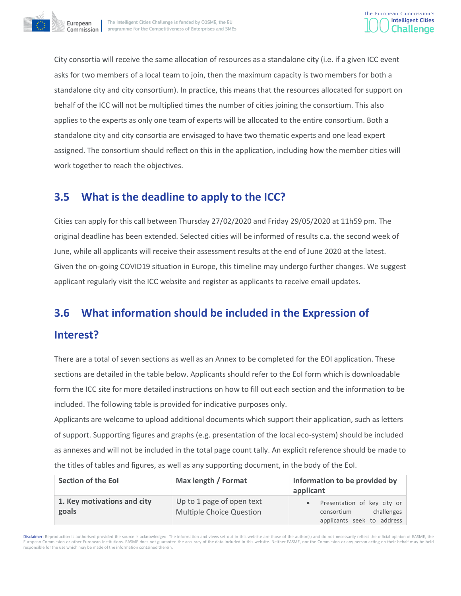



City consortia will receive the same allocation of resources as a standalone city (i.e. if a given ICC event asks for two members of a local team to join, then the maximum capacity is two members for both a standalone city and city consortium). In practice, this means that the resources allocated for support on behalf of the ICC will not be multiplied times the number of cities joining the consortium. This also applies to the experts as only one team of experts will be allocated to the entire consortium. Both a standalone city and city consortia are envisaged to have two thematic experts and one lead expert assigned. The consortium should reflect on this in the application, including how the member cities will work together to reach the objectives.

# <span id="page-16-0"></span>**3.5 What is the deadline to apply to the ICC?**

Cities can apply for this call between Thursday 27/02/2020 and Friday 29/05/2020 at 11h59 pm. The original deadline has been extended. Selected cities will be informed of results c.a. the second week of June, while all applicants will receive their assessment results at the end of June 2020 at the latest. Given the on-going COVID19 situation in Europe, this timeline may undergo further changes. We suggest applicant regularly visit the ICC website and register as applicants to receive email updates.

# <span id="page-16-1"></span>**3.6 What information should be included in the Expression of**

# **Interest?**

There are a total of seven sections as well as an Annex to be completed for the EOI application. These sections are detailed in the table below. Applicants should refer to the EoI form which is downloadable form the ICC site for more detailed instructions on how to fill out each section and the information to be included. The following table is provided for indicative purposes only.

Applicants are welcome to upload additional documents which support their application, such as letters of support. Supporting figures and graphs (e.g. presentation of the local eco-system) should be included as annexes and will not be included in the total page count tally. An explicit reference should be made to the titles of tables and figures, as well as any supporting document, in the body of the EoI.

| Section of the EoI                   | Max length / Format                                          | Information to be provided by<br>applicant                                            |
|--------------------------------------|--------------------------------------------------------------|---------------------------------------------------------------------------------------|
| 1. Key motivations and city<br>goals | Up to 1 page of open text<br><b>Multiple Choice Question</b> | Presentation of key city or<br>challenges<br>consortium<br>applicants seek to address |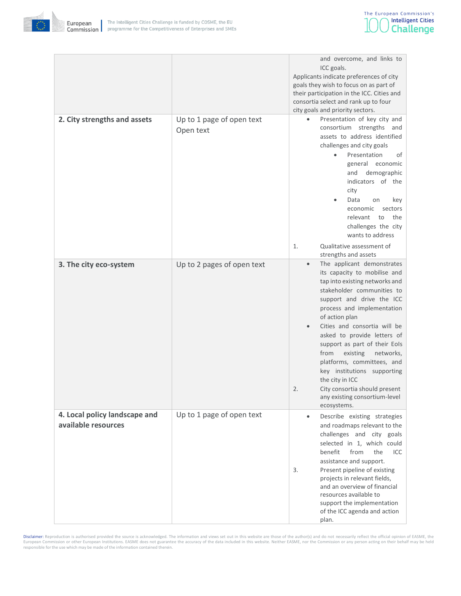

|                                                      |                                        | and overcome, and links to<br>ICC goals.<br>Applicants indicate preferences of city<br>goals they wish to focus on as part of<br>their participation in the ICC. Cities and<br>consortia select and rank up to four<br>city goals and priority sectors.                                                                                                                                                                                                                                                                                              |
|------------------------------------------------------|----------------------------------------|------------------------------------------------------------------------------------------------------------------------------------------------------------------------------------------------------------------------------------------------------------------------------------------------------------------------------------------------------------------------------------------------------------------------------------------------------------------------------------------------------------------------------------------------------|
| 2. City strengths and assets                         | Up to 1 page of open text<br>Open text | Presentation of key city and<br>consortium strengths and<br>assets to address identified<br>challenges and city goals<br>$\bullet$<br>Presentation<br>οf<br>general economic<br>demographic<br>and<br>indicators of the<br>city<br>Data<br>on<br>key<br>economic<br>sectors<br>the<br>relevant<br>to<br>challenges the city<br>wants to address<br>Qualitative assessment of<br>1.                                                                                                                                                                   |
| 3. The city eco-system                               | Up to 2 pages of open text             | strengths and assets<br>The applicant demonstrates<br>$\bullet$<br>its capacity to mobilise and<br>tap into existing networks and<br>stakeholder communities to<br>support and drive the ICC<br>process and implementation<br>of action plan<br>Cities and consortia will be<br>asked to provide letters of<br>support as part of their Eols<br>from<br>existing<br>networks,<br>platforms, committees, and<br>key institutions supporting<br>the city in ICC<br>2.<br>City consortia should present<br>any existing consortium-level<br>ecosystems. |
| 4. Local policy landscape and<br>available resources | Up to 1 page of open text              | Describe existing strategies<br>$\bullet$<br>and roadmaps relevant to the<br>challenges and city goals<br>selected in 1, which could<br>benefit<br>from<br>the<br><b>ICC</b><br>assistance and support.<br>Present pipeline of existing<br>3.<br>projects in relevant fields,<br>and an overview of financial<br>resources available to<br>support the implementation<br>of the ICC agenda and action<br>plan.                                                                                                                                       |

Disclaimer: Reproduction is authorised provided the source is acknowledged. The information and views set out in this website are those of the author(s) and do not necessarily reflect the official opinion of EASME, the<br>Eur responsible for the use which may be made of the information contained therein.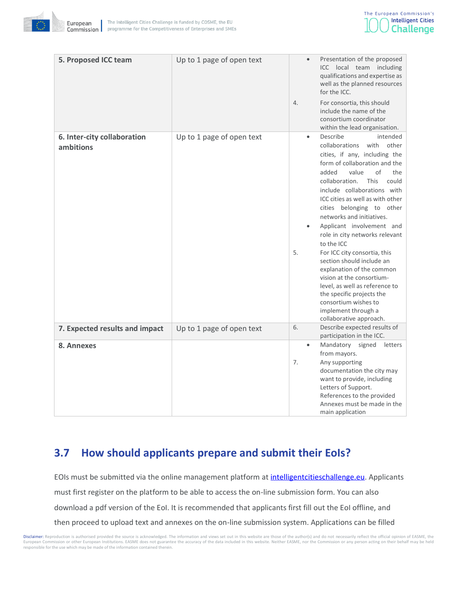



| 5. Proposed ICC team                     | Up to 1 page of open text |                 | Presentation of the proposed<br>ICC<br>local team including<br>qualifications and expertise as<br>well as the planned resources<br>for the ICC.                                                                                                                                                                                                                                                                                                                                                 |
|------------------------------------------|---------------------------|-----------------|-------------------------------------------------------------------------------------------------------------------------------------------------------------------------------------------------------------------------------------------------------------------------------------------------------------------------------------------------------------------------------------------------------------------------------------------------------------------------------------------------|
|                                          |                           | 4.              | For consortia, this should<br>include the name of the<br>consortium coordinator<br>within the lead organisation.                                                                                                                                                                                                                                                                                                                                                                                |
| 6. Inter-city collaboration<br>ambitions | Up to 1 page of open text | $\bullet$<br>5. | Describe<br>intended<br>other<br>collaborations<br>with<br>cities, if any, including the<br>form of collaboration and the<br>added<br>value<br>of<br>the<br>collaboration.<br>This<br>could<br>include collaborations with<br>ICC cities as well as with other<br>cities belonging to other<br>networks and initiatives.<br>Applicant involvement and<br>role in city networks relevant<br>to the ICC<br>For ICC city consortia, this<br>section should include an<br>explanation of the common |
|                                          |                           |                 | vision at the consortium-<br>level, as well as reference to<br>the specific projects the<br>consortium wishes to<br>implement through a<br>collaborative approach.                                                                                                                                                                                                                                                                                                                              |
| 7. Expected results and impact           | Up to 1 page of open text | 6.              | Describe expected results of<br>participation in the ICC.                                                                                                                                                                                                                                                                                                                                                                                                                                       |
| 8. Annexes                               |                           | 7.              | Mandatory signed<br>letters<br>from mayors.<br>Any supporting<br>documentation the city may<br>want to provide, including<br>Letters of Support.<br>References to the provided                                                                                                                                                                                                                                                                                                                  |

# <span id="page-18-0"></span>**3.7 How should applicants prepare and submit their EoIs?**

EOIs must be submitted via the online management platform at intelligent cities challenge.eu. Applicants must first register on the platform to be able to access the on-line submission form. You can also download a pdf version of the EoI. It is recommended that applicants first fill out the EoI offline, and then proceed to upload text and annexes on the on-line submission system. Applications can be filled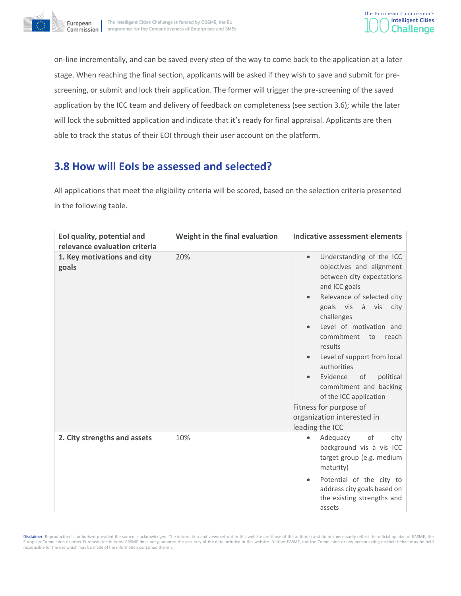



on-line incrementally, and can be saved every step of the way to come back to the application at a later stage. When reaching the final section, applicants will be asked if they wish to save and submit for prescreening, or submit and lock their application. The former will trigger the pre-screening of the saved application by the ICC team and delivery of feedback on completeness (see section 3.6); while the later will lock the submitted application and indicate that it's ready for final appraisal. Applicants are then able to track the status of their EOI through their user account on the platform.

# <span id="page-19-0"></span>**3.8 How will EoIs be assessed and selected?**

All applications that meet the eligibility criteria will be scored, based on the selection criteria presented in the following table.

| Eol quality, potential and<br>relevance evaluation criteria | Weight in the final evaluation | Indicative assessment elements                                                                                                                                                                                                                                                                                                                                                                                                                                                     |
|-------------------------------------------------------------|--------------------------------|------------------------------------------------------------------------------------------------------------------------------------------------------------------------------------------------------------------------------------------------------------------------------------------------------------------------------------------------------------------------------------------------------------------------------------------------------------------------------------|
| 1. Key motivations and city<br>goals                        | 20%                            | Understanding of the ICC<br>$\bullet$<br>objectives and alignment<br>between city expectations<br>and ICC goals<br>Relevance of selected city<br>goals vis à vis<br>city<br>challenges<br>Level of motivation and<br>commitment<br>to<br>reach<br>results<br>Level of support from local<br>$\bullet$<br>authorities<br>Evidence<br>of<br>political<br>commitment and backing<br>of the ICC application<br>Fitness for purpose of<br>organization interested in<br>leading the ICC |
| 2. City strengths and assets                                | 10%                            | of<br>Adequacy<br>city<br>background vis à vis ICC<br>target group (e.g. medium<br>maturity)<br>Potential of the city to<br>$\bullet$<br>address city goals based on<br>the existing strengths and<br>assets                                                                                                                                                                                                                                                                       |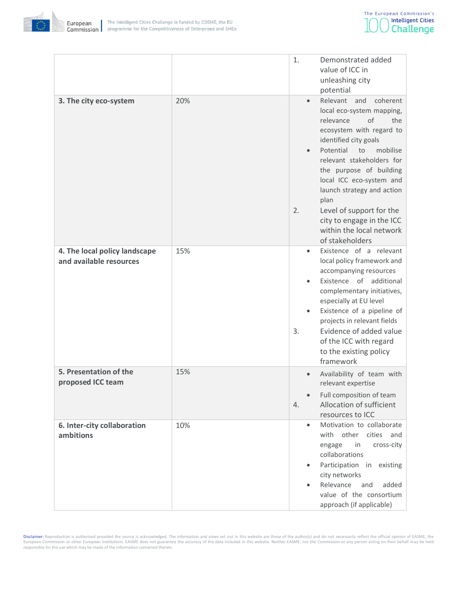



|                                                          |     | 1.              | Demonstrated added<br>value of ICC in<br>unleashing city<br>potential                                                                                                                                                                                                                                                                                                                                 |
|----------------------------------------------------------|-----|-----------------|-------------------------------------------------------------------------------------------------------------------------------------------------------------------------------------------------------------------------------------------------------------------------------------------------------------------------------------------------------------------------------------------------------|
| 3. The city eco-system                                   | 20% | $\bullet$<br>2. | Relevant and<br>coherent<br>local eco-system mapping,<br>relevance<br>of<br>the<br>ecosystem with regard to<br>identified city goals<br>Potential<br>mobilise<br>to<br>relevant stakeholders for<br>the purpose of building<br>local ICC eco-system and<br>launch strategy and action<br>plan<br>Level of support for the<br>city to engage in the ICC<br>within the local network<br>of stakeholders |
| 4. The local policy landscape<br>and available resources | 15% | 3.              | Existence of a relevant<br>local policy framework and<br>accompanying resources<br>Existence of additional<br>complementary initiatives,<br>especially at EU level<br>Existence of a pipeline of<br>projects in relevant fields<br>Evidence of added value<br>of the ICC with regard<br>to the existing policy<br>framework                                                                           |
| 5. Presentation of the<br>proposed ICC team              | 15% | 4.              | Availability of team with<br>relevant expertise<br>Full composition of team<br>Allocation of sufficient<br>resources to ICC                                                                                                                                                                                                                                                                           |
| 6. Inter-city collaboration<br>ambitions                 | 10% | $\bullet$       | Motivation to collaborate<br>with other cities and<br>engage<br>in<br>cross-city<br>collaborations<br>Participation in existing<br>city networks<br>Relevance<br>added<br>and<br>value of the consortium<br>approach (if applicable)                                                                                                                                                                  |

Disclaimer: Reproduction is authorised provided the source is acknowledged. The information and views set out in this website are those of the author(s) and do not necessarily reflect the official opinion of EASME, the<br>Eur responsible for the use which may be made of the information contained therein.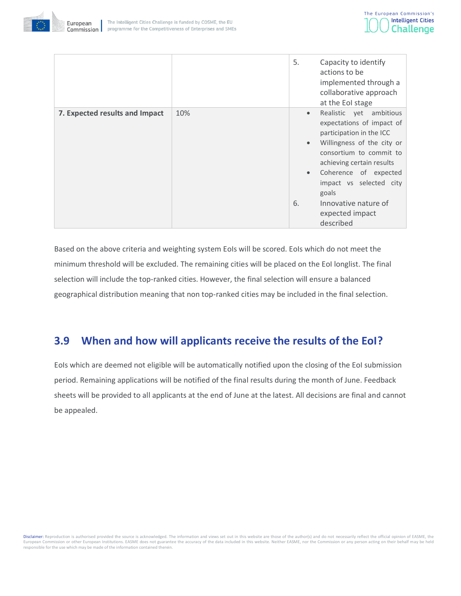



|                                |     | 5.                                        | Capacity to identify<br>actions to be<br>implemented through a<br>collaborative approach<br>at the EoI stage                                                                                                                                                                                   |
|--------------------------------|-----|-------------------------------------------|------------------------------------------------------------------------------------------------------------------------------------------------------------------------------------------------------------------------------------------------------------------------------------------------|
| 7. Expected results and Impact | 10% | $\bullet$<br>$\bullet$<br>$\bullet$<br>6. | ambitious<br>Realistic yet<br>expectations of impact of<br>participation in the ICC<br>Willingness of the city or<br>consortium to commit to<br>achieving certain results<br>Coherence of expected<br>impact vs selected city<br>goals<br>Innovative nature of<br>expected impact<br>described |

Based on the above criteria and weighting system EoIs will be scored. EoIs which do not meet the minimum threshold will be excluded. The remaining cities will be placed on the EoI longlist. The final selection will include the top-ranked cities. However, the final selection will ensure a balanced geographical distribution meaning that non top-ranked cities may be included in the final selection.

# <span id="page-21-0"></span>**3.9 When and how will applicants receive the results of the EoI?**

EoIs which are deemed not eligible will be automatically notified upon the closing of the EoI submission period. Remaining applications will be notified of the final results during the month of June. Feedback sheets will be provided to all applicants at the end of June at the latest. All decisions are final and cannot be appealed.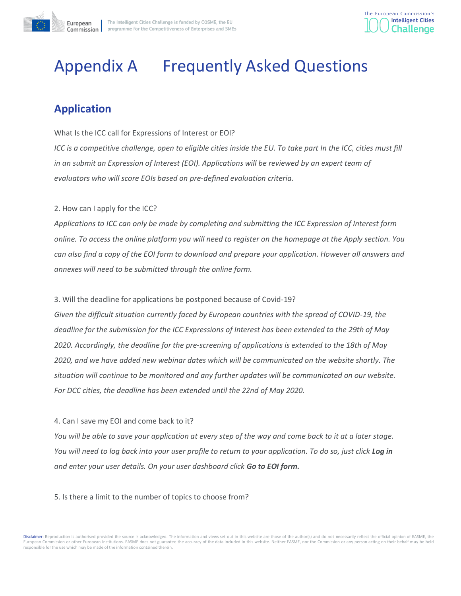



# <span id="page-22-0"></span>Appendix A Frequently Asked Questions

# <span id="page-22-1"></span>**Application**

What Is the ICC call for Expressions of Interest or EOI?

*ICC is a competitive challenge, open to eligible cities inside the EU. To take part In the ICC, cities must fill in an submit an Expression of Interest (EOI). Applications will be reviewed by an expert team of evaluators who will score EOIs based on pre-defined evaluation criteria.*

#### 2. How can I apply for the ICC?

*Applications to ICC can only be made by completing and submitting the ICC Expression of Interest form online. To access the online platform you will need to register on the homepage at the Apply section. You can also find a copy of the EOI form to download and prepare your application. However all answers and annexes will need to be submitted through the online form.*

#### 3. Will the deadline for applications be postponed because of Covid-19?

*Given the difficult situation currently faced by European countries with the spread of COVID-19, the deadline for the submission for the ICC Expressions of Interest has been extended to the 29th of May 2020. Accordingly, the deadline for the pre-screening of applications is extended to the 18th of May 2020, and we have added new webinar dates which will be communicated on the website shortly. The situation will continue to be monitored and any further updates will be communicated on our website. For DCC cities, the deadline has been extended until the 22nd of May 2020.* 

#### 4. Can I save my EOI and come back to it?

*You will be able to save your application at every step of the way and come back to it at a later stage. You will need to log back into your user profile to return to your application. To do so, just click Log in and enter your user details. On your user dashboard click Go to EOI form.*

#### 5. Is there a limit to the number of topics to choose from?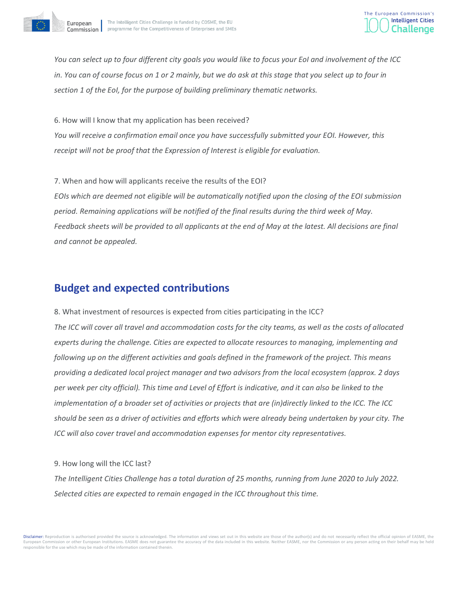



*You can select up to four different city goals you would like to focus your EoI and involvement of the ICC in. You can of course focus on 1 or 2 mainly, but we do ask at this stage that you select up to four in section 1 of the EoI, for the purpose of building preliminary thematic networks.*

6. How will I know that my application has been received? *You will receive a confirmation email once you have successfully submitted your EOI. However, this receipt will not be proof that the Expression of Interest is eligible for evaluation.*

7. When and how will applicants receive the results of the EOI? *EOIs which are deemed not eligible will be automatically notified upon the closing of the EOI submission period. Remaining applications will be notified of the final results during the third week of May. Feedback sheets will be provided to all applicants at the end of May at the latest. All decisions are final and cannot be appealed.*

# <span id="page-23-0"></span>**Budget and expected contributions**

8. What investment of resources is expected from cities participating in the ICC?

*The ICC will cover all travel and accommodation costs for the city teams, as well as the costs of allocated experts during the challenge. Cities are expected to allocate resources to managing, implementing and following up on the different activities and goals defined in the framework of the project. This means providing a dedicated local project manager and two advisors from the local ecosystem (approx. 2 days per week per city official). This time and Level of Effort is indicative, and it can also be linked to the implementation of a broader set of activities or projects that are (in)directly linked to the ICC. The ICC should be seen as a driver of activities and efforts which were already being undertaken by your city. The ICC will also cover travel and accommodation expenses for mentor city representatives.* 

#### 9. How long will the ICC last?

*The Intelligent Cities Challenge has a total duration of 25 months, running from June 2020 to July 2022. Selected cities are expected to remain engaged in the ICC throughout this time.*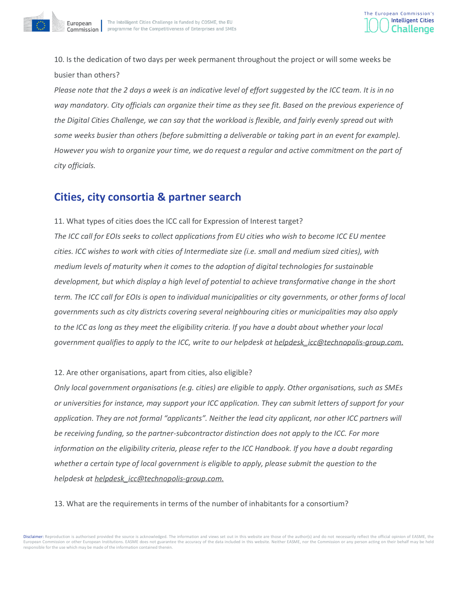

10. Is the dedication of two days per week permanent throughout the project or will some weeks be busier than others?

*Please note that the 2 days a week is an indicative level of effort suggested by the ICC team. It is in no way mandatory. City officials can organize their time as they see fit. Based on the previous experience of the Digital Cities Challenge, we can say that the workload is flexible, and fairly evenly spread out with some weeks busier than others (before submitting a deliverable or taking part in an event for example). However you wish to organize your time, we do request a regular and active commitment on the part of city officials.*

# <span id="page-24-0"></span>**Cities, city consortia & partner search**

11. What types of cities does the ICC call for Expression of Interest target? *The ICC call for EOIs seeks to collect applications from EU cities who wish to become ICC EU mentee cities. ICC wishes to work with cities of Intermediate size (i.e. small and medium sized cities), with medium levels of maturity when it comes to the adoption of digital technologies for sustainable development, but which display a high level of potential to achieve transformative change in the short term. The ICC call for EOIs is open to individual municipalities or city governments, or other forms of local governments such as city districts covering several neighbouring cities or municipalities may also apply to the ICC as long as they meet the eligibility criteria. If you have a doubt about whether your local government qualifies to apply to the ICC, write to our helpdesk a[t helpdesk\\_icc@technopolis-group.com.](mailto:helpdesk_icc@technopolis-group.com)*

#### 12. Are other organisations, apart from cities, also eligible?

*Only local government organisations (e.g. cities) are eligible to apply. Other organisations, such as SMEs or universities for instance, may support your ICC application. They can submit letters of support for your application. They are not formal "applicants". Neither the lead city applicant, nor other ICC partners will be receiving funding, so the partner-subcontractor distinction does not apply to the ICC. For more information on the eligibility criteria, please refer to the ICC Handbook. If you have a doubt regarding whether a certain type of local government is eligible to apply, please submit the question to the helpdesk a[t helpdesk\\_icc@technopolis-group.com.](mailto:helpdesk_icc@technopolis-group.com)*

#### 13. What are the requirements in terms of the number of inhabitants for a consortium?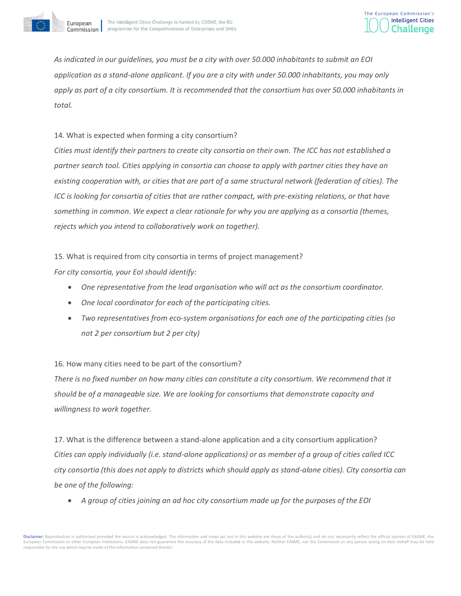



*As indicated in our guidelines, you must be a city with over 50.000 inhabitants to submit an EOI application as a stand-alone applicant. If you are a city with under 50.000 inhabitants, you may only apply as part of a city consortium. It is recommended that the consortium has over 50.000 inhabitants in total.* 

#### 14. What is expected when forming a city consortium?

*Cities must identify their partners to create city consortia on their own. The ICC has not established a partner search tool. Cities applying in consortia can choose to apply with partner cities they have an existing cooperation with, or cities that are part of a same structural network (federation of cities). The ICC is looking for consortia of cities that are rather compact, with pre-existing relations, or that have something in common. We expect a clear rationale for why you are applying as a consortia (themes, rejects which you intend to collaboratively work on together).*

15. What is required from city consortia in terms of project management?

*For city consortia, your EoI should identify:*

- *One representative from the lead organisation who will act as the consortium coordinator.*
- *One local coordinator for each of the participating cities.*
- *Two representatives from eco-system organisations for each one of the participating cities (so not 2 per consortium but 2 per city)*

#### 16. How many cities need to be part of the consortium?

*There is no fixed number on how many cities can constitute a city consortium. We recommend that it should be of a manageable size. We are looking for consortiums that demonstrate capacity and willingness to work together.*

17. What is the difference between a stand-alone application and a city consortium application? *Cities can apply individually (i.e. stand-alone applications) or as member of a group of cities called ICC city consortia (this does not apply to districts which should apply as stand-alone cities). City consortia can be one of the following:*

• *A group of cities joining an ad hoc city consortium made up for the purposes of the EOI*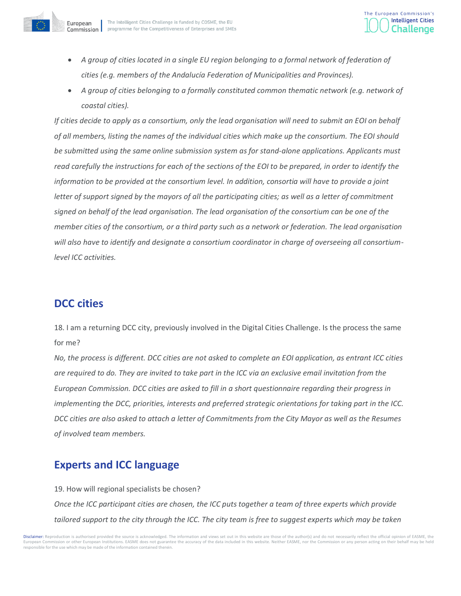

- A group of cities located in a single EU region belonging to a formal network of federation of *cities (e.g. members of the Andalucía Federation of Municipalities and Provinces).*
- *A group of cities belonging to a formally constituted common thematic network (e.g. network of coastal cities).*

*If cities decide to apply as a consortium, only the lead organisation will need to submit an EOI on behalf of all members, listing the names of the individual cities which make up the consortium. The EOI should be submitted using the same online submission system as for stand-alone applications. Applicants must read carefully the instructions for each of the sections of the EOI to be prepared, in order to identify the information to be provided at the consortium level. In addition, consortia will have to provide a joint letter of support signed by the mayors of all the participating cities; as well as a letter of commitment signed on behalf of the lead organisation. The lead organisation of the consortium can be one of the member cities of the consortium, or a third party such as a network or federation. The lead organisation will also have to identify and designate a consortium coordinator in charge of overseeing all consortiumlevel ICC activities.* 

# <span id="page-26-0"></span>**DCC cities**

18. I am a returning DCC city, previously involved in the Digital Cities Challenge. Is the process the same for me?

*No, the process is different. DCC cities are not asked to complete an EOI application, as entrant ICC cities are required to do. They are invited to take part in the ICC via an exclusive email invitation from the European Commission. DCC cities are asked to fill in a short questionnaire regarding their progress in implementing the DCC, priorities, interests and preferred strategic orientations for taking part in the ICC. DCC cities are also asked to attach a letter of Commitments from the City Mayor as well as the Resumes of involved team members.*

# <span id="page-26-1"></span>**Experts and ICC language**

19. How will regional specialists be chosen?

*Once the ICC participant cities are chosen, the ICC puts together a team of three experts which provide tailored support to the city through the ICC. The city team is free to suggest experts which may be taken*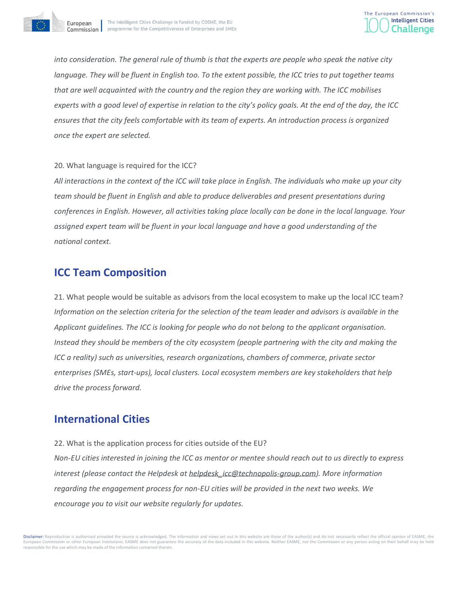

*into consideration. The general rule of thumb is that the experts are people who speak the native city language. They will be fluent in English too. To the extent possible, the ICC tries to put together teams that are well acquainted with the country and the region they are working with. The ICC mobilises experts with a good level of expertise in relation to the city's policy goals. At the end of the day, the ICC ensures that the city feels comfortable with its team of experts. An introduction process is organized once the expert are selected.*

#### 20. What language is required for the ICC?

*All interactions in the context of the ICC will take place in English. The individuals who make up your city team should be fluent in English and able to produce deliverables and present presentations during conferences in English. However, all activities taking place locally can be done in the local language. Your assigned expert team will be fluent in your local language and have a good understanding of the national context.*

# <span id="page-27-0"></span>**ICC Team Composition**

21. What people would be suitable as advisors from the local ecosystem to make up the local ICC team? *Information on the selection criteria for the selection of the team leader and advisors is available in the Applicant guidelines. The ICC is looking for people who do not belong to the applicant organisation. Instead they should be members of the city ecosystem (people partnering with the city and making the ICC a reality) such as universities, research organizations, chambers of commerce, private sector enterprises (SMEs, start-ups), local clusters. Local ecosystem members are key stakeholders that help drive the process forward.* 

# <span id="page-27-1"></span>**International Cities**

22. What is the application process for cities outside of the EU?

*Non-EU cities interested in joining the ICC as mentor or mentee should reach out to us directly to express interest (please contact the Helpdesk at [helpdesk\\_icc@technopolis-group.com\)](mailto:helpdesk_icc@technopolis-group.com). More information regarding the engagement process for non-EU cities will be provided in the next two weeks. We encourage you to visit our website regularly for updates.*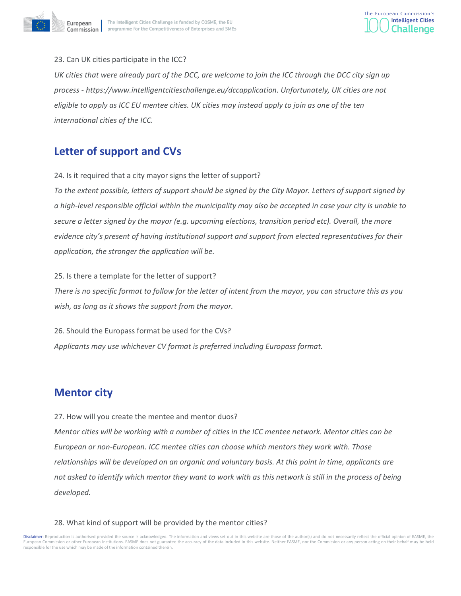



#### 23. Can UK cities participate in the ICC?

UK cities that were already part of the DCC, are welcome to join the ICC through the DCC city sign up *process - https://www.intelligentcitieschallenge.eu/dccapplication. Unfortunately, UK cities are not eligible to apply as ICC EU mentee cities. UK cities may instead apply to join as one of the ten international cities of the ICC.*

# <span id="page-28-0"></span>**Letter of support and CVs**

24. Is it required that a city mayor signs the letter of support?

*To the extent possible, letters of support should be signed by the City Mayor. Letters of support signed by a high-level responsible official within the municipality may also be accepted in case your city is unable to secure a letter signed by the mayor (e.g. upcoming elections, transition period etc). Overall, the more evidence city's present of having institutional support and support from elected representatives for their application, the stronger the application will be.*

25. Is there a template for the letter of support?

*There is no specific format to follow for the letter of intent from the mayor, you can structure this as you wish, as long as it shows the support from the mayor.*

26. Should the Europass format be used for the CVs? *Applicants may use whichever CV format is preferred including Europass format.* 

# <span id="page-28-1"></span>**Mentor city**

27. How will you create the mentee and mentor duos?

*Mentor cities will be working with a number of cities in the ICC mentee network. Mentor cities can be European or non-European. ICC mentee cities can choose which mentors they work with. Those relationships will be developed on an organic and voluntary basis. At this point in time, applicants are not asked to identify which mentor they want to work with as this network is still in the process of being developed.*

#### 28. What kind of support will be provided by the mentor cities?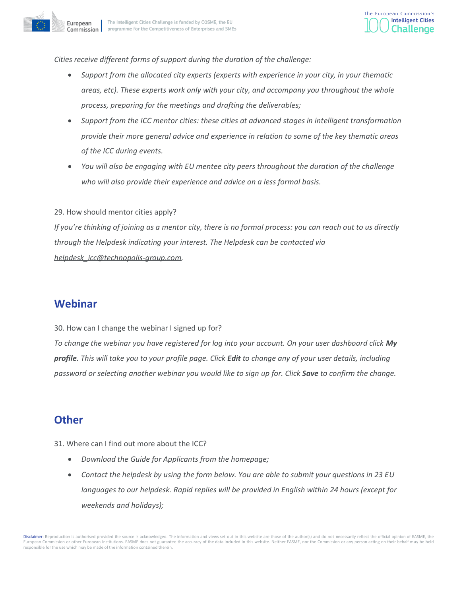



*Cities receive different forms of support during the duration of the challenge:* 

- *Support from the allocated city experts (experts with experience in your city, in your thematic areas, etc). These experts work only with your city, and accompany you throughout the whole process, preparing for the meetings and drafting the deliverables;*
- *Support from the ICC mentor cities: these cities at advanced stages in intelligent transformation provide their more general advice and experience in relation to some of the key thematic areas of the ICC during events.*
- *You will also be engaging with EU mentee city peers throughout the duration of the challenge who will also provide their experience and advice on a less formal basis.*

#### 29. How should mentor cities apply?

*If you're thinking of joining as a mentor city, there is no formal process: you can reach out to us directly through the Helpdesk indicating your interest. The Helpdesk can be contacted via helpdesk\_icc@technopolis-group.com.* 

## <span id="page-29-0"></span>**Webinar**

#### 30. How can I change the webinar I signed up for?

*To change the webinar you have registered for log into your account. On your user dashboard click My profile. This will take you to your profile page. Click Edit to change any of your user details, including password or selecting another webinar you would like to sign up for. Click Save to confirm the change.*

## <span id="page-29-1"></span>**Other**

31. Where can I find out more about the ICC?

- *Download the Guide for Applicants from the homepage;*
- *Contact the helpdesk by using the form below. You are able to submit your questions in 23 EU languages to our helpdesk. Rapid replies will be provided in English within 24 hours (except for weekends and holidays);*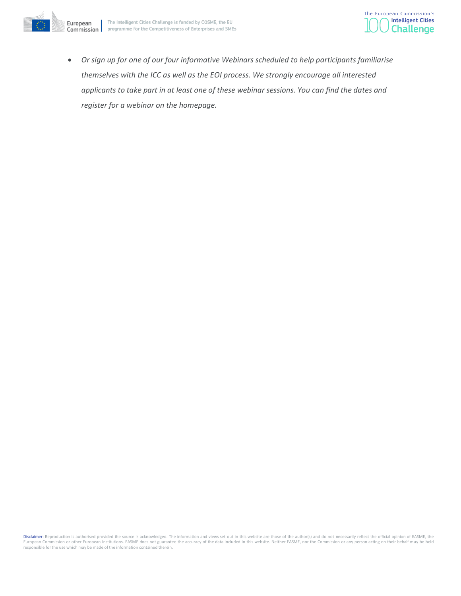



• *Or sign up for one of our four informative Webinars scheduled to help participants familiarise themselves with the ICC as well as the EOI process. We strongly encourage all interested applicants to take part in at least one of these webinar sessions. You can find the dates and register for a webinar on the homepage.*